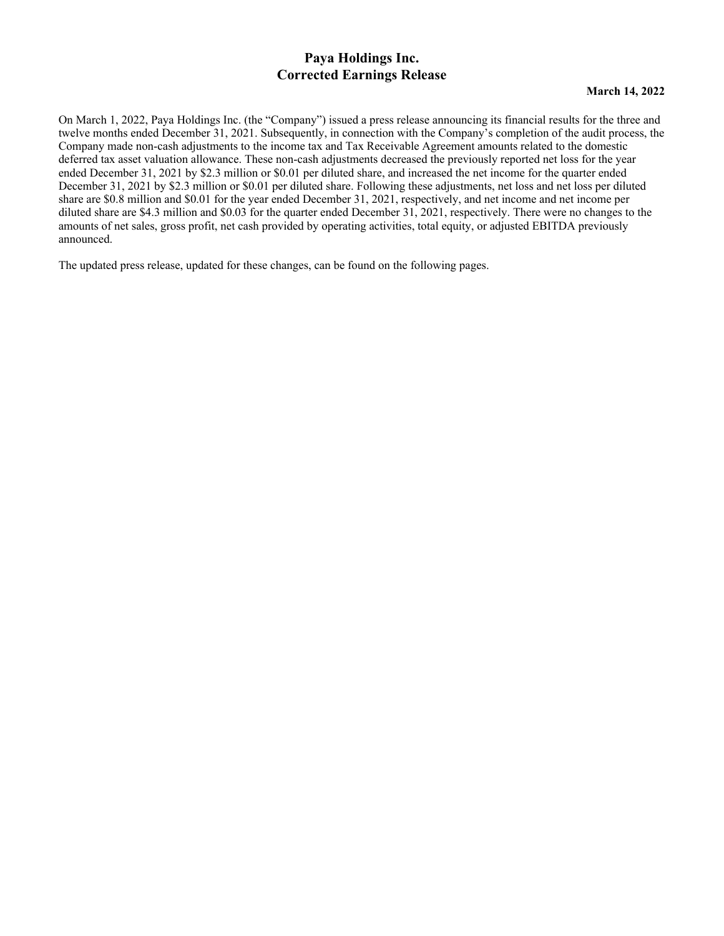# **Paya Holdings Inc. Corrected Earnings Release**

**March 14, 2022**

On March 1, 2022, Paya Holdings Inc. (the "Company") issued a press release announcing its financial results for the three and twelve months ended December 31, 2021. Subsequently, in connection with the Company's completion of the audit process, the Company made non-cash adjustments to the income tax and Tax Receivable Agreement amounts related to the domestic deferred tax asset valuation allowance. These non-cash adjustments decreased the previously reported net loss for the year ended December 31, 2021 by \$2.3 million or \$0.01 per diluted share, and increased the net income for the quarter ended December 31, 2021 by \$2.3 million or \$0.01 per diluted share. Following these adjustments, net loss and net loss per diluted share are \$0.8 million and \$0.01 for the year ended December 31, 2021, respectively, and net income and net income per diluted share are \$4.3 million and \$0.03 for the quarter ended December 31, 2021, respectively. There were no changes to the amounts of net sales, gross profit, net cash provided by operating activities, total equity, or adjusted EBITDA previously announced.

The updated press release, updated for these changes, can be found on the following pages.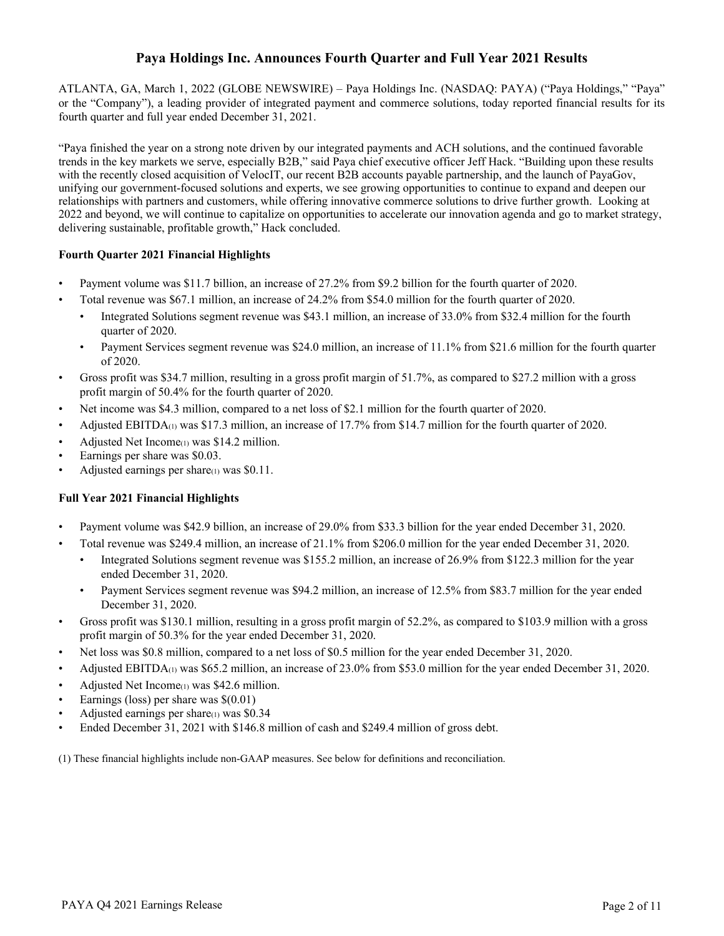# **Paya Holdings Inc. Announces Fourth Quarter and Full Year 2021 Results**

ATLANTA, GA, March 1, 2022 (GLOBE NEWSWIRE) – Paya Holdings Inc. (NASDAQ: PAYA) ("Paya Holdings," "Paya" or the "Company"), a leading provider of integrated payment and commerce solutions, today reported financial results for its fourth quarter and full year ended December 31, 2021.

"Paya finished the year on a strong note driven by our integrated payments and ACH solutions, and the continued favorable trends in the key markets we serve, especially B2B," said Paya chief executive officer Jeff Hack. "Building upon these results with the recently closed acquisition of VelocIT, our recent B2B accounts payable partnership, and the launch of PayaGov, unifying our government-focused solutions and experts, we see growing opportunities to continue to expand and deepen our relationships with partners and customers, while offering innovative commerce solutions to drive further growth. Looking at 2022 and beyond, we will continue to capitalize on opportunities to accelerate our innovation agenda and go to market strategy, delivering sustainable, profitable growth," Hack concluded.

# **Fourth Quarter 2021 Financial Highlights**

- Payment volume was \$11.7 billion, an increase of 27.2% from \$9.2 billion for the fourth quarter of 2020.
- Total revenue was \$67.1 million, an increase of 24.2% from \$54.0 million for the fourth quarter of 2020.
	- Integrated Solutions segment revenue was \$43.1 million, an increase of 33.0% from \$32.4 million for the fourth quarter of 2020.
	- Payment Services segment revenue was \$24.0 million, an increase of 11.1% from \$21.6 million for the fourth quarter of 2020.
- Gross profit was \$34.7 million, resulting in a gross profit margin of 51.7%, as compared to \$27.2 million with a gross profit margin of 50.4% for the fourth quarter of 2020.
- Net income was \$4.3 million, compared to a net loss of \$2.1 million for the fourth quarter of 2020.
- Adjusted EBITDA $_{(1)}$  was \$17.3 million, an increase of 17.7% from \$14.7 million for the fourth quarter of 2020.
- Adjusted Net Income(1) was \$14.2 million.
- Earnings per share was \$0.03.
- Adjusted earnings per share $(1)$  was \$0.11.

# **Full Year 2021 Financial Highlights**

- Payment volume was \$42.9 billion, an increase of 29.0% from \$33.3 billion for the year ended December 31, 2020.
- Total revenue was \$249.4 million, an increase of 21.1% from \$206.0 million for the year ended December 31, 2020.
	- Integrated Solutions segment revenue was \$155.2 million, an increase of 26.9% from \$122.3 million for the year ended December 31, 2020.
	- Payment Services segment revenue was \$94.2 million, an increase of 12.5% from \$83.7 million for the year ended December 31, 2020.
- Gross profit was \$130.1 million, resulting in a gross profit margin of 52.2%, as compared to \$103.9 million with a gross profit margin of 50.3% for the year ended December 31, 2020.
- Net loss was \$0.8 million, compared to a net loss of \$0.5 million for the year ended December 31, 2020.
- Adjusted EBITDA(1) was \$65.2 million, an increase of 23.0% from \$53.0 million for the year ended December 31, 2020.
- Adjusted Net Income $(1)$  was \$42.6 million.
- Earnings (loss) per share was  $\S(0.01)$
- Adjusted earnings per share(1) was \$0.34
- Ended December 31, 2021 with \$146.8 million of cash and \$249.4 million of gross debt.

(1) These financial highlights include non-GAAP measures. See below for definitions and reconciliation.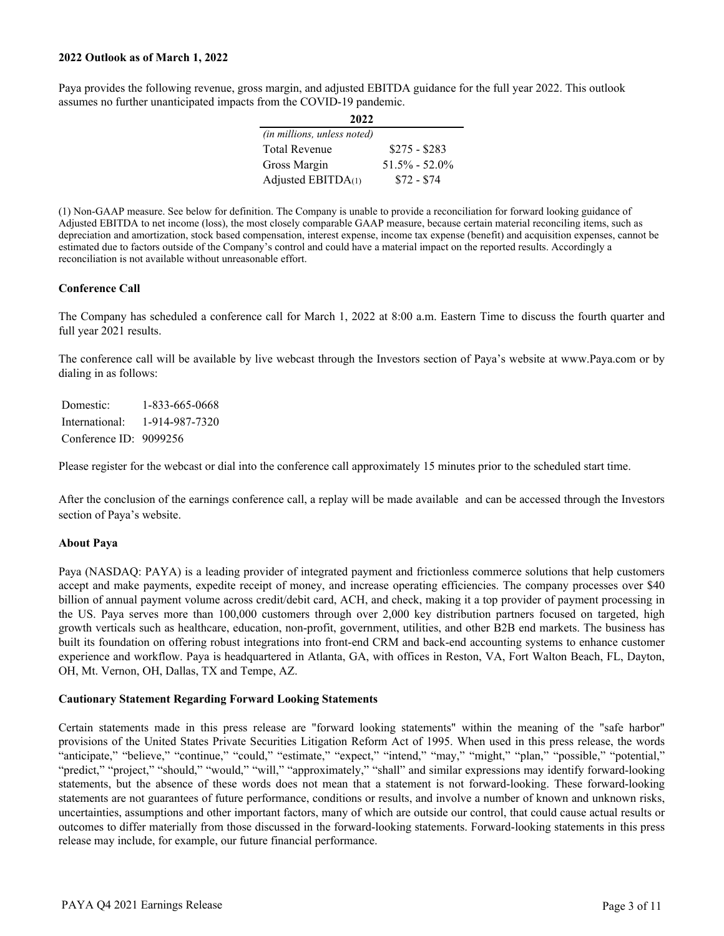#### **2022 Outlook as of March 1, 2022**

Paya provides the following revenue, gross margin, and adjusted EBITDA guidance for the full year 2022. This outlook assumes no further unanticipated impacts from the COVID-19 pandemic.

| 2022                        |                   |
|-----------------------------|-------------------|
| (in millions, unless noted) |                   |
| <b>Total Revenue</b>        | $$275 - $283$     |
| Gross Margin                | $51.5\% - 52.0\%$ |
| Adjusted EBITD $A_{(1)}$    | $$72 - $74$       |

(1) Non-GAAP measure. See below for definition. The Company is unable to provide a reconciliation for forward looking guidance of Adjusted EBITDA to net income (loss), the most closely comparable GAAP measure, because certain material reconciling items, such as depreciation and amortization, stock based compensation, interest expense, income tax expense (benefit) and acquisition expenses, cannot be estimated due to factors outside of the Company's control and could have a material impact on the reported results. Accordingly a reconciliation is not available without unreasonable effort.

#### **Conference Call**

The Company has scheduled a conference call for March 1, 2022 at 8:00 a.m. Eastern Time to discuss the fourth quarter and full year 2021 results.

The conference call will be available by live webcast through the Investors section of Paya's website at www.Paya.com or by dialing in as follows:

Domestic: 1-833-665-0668 International: 1-914-987-7320 Conference ID: 9099256

Please register for the webcast or dial into the conference call approximately 15 minutes prior to the scheduled start time.

After the conclusion of the earnings conference call, a replay will be made available and can be accessed through the Investors section of Paya's website.

## **About Paya**

Paya (NASDAQ: PAYA) is a leading provider of integrated payment and frictionless commerce solutions that help customers accept and make payments, expedite receipt of money, and increase operating efficiencies. The company processes over \$40 billion of annual payment volume across credit/debit card, ACH, and check, making it a top provider of payment processing in the US. Paya serves more than 100,000 customers through over 2,000 key distribution partners focused on targeted, high growth verticals such as healthcare, education, non-profit, government, utilities, and other B2B end markets. The business has built its foundation on offering robust integrations into front-end CRM and back-end accounting systems to enhance customer experience and workflow. Paya is headquartered in Atlanta, GA, with offices in Reston, VA, Fort Walton Beach, FL, Dayton, OH, Mt. Vernon, OH, Dallas, TX and Tempe, AZ.

#### **Cautionary Statement Regarding Forward Looking Statements**

Certain statements made in this press release are "forward looking statements" within the meaning of the "safe harbor" provisions of the United States Private Securities Litigation Reform Act of 1995. When used in this press release, the words "anticipate," "believe," "continue," "could," "estimate," "expect," "intend," "may," "might," "plan," "possible," "potential," "predict," "project," "should," "would," "will," "approximately," "shall" and similar expressions may identify forward-looking statements, but the absence of these words does not mean that a statement is not forward-looking. These forward-looking statements are not guarantees of future performance, conditions or results, and involve a number of known and unknown risks, uncertainties, assumptions and other important factors, many of which are outside our control, that could cause actual results or outcomes to differ materially from those discussed in the forward-looking statements. Forward-looking statements in this press release may include, for example, our future financial performance.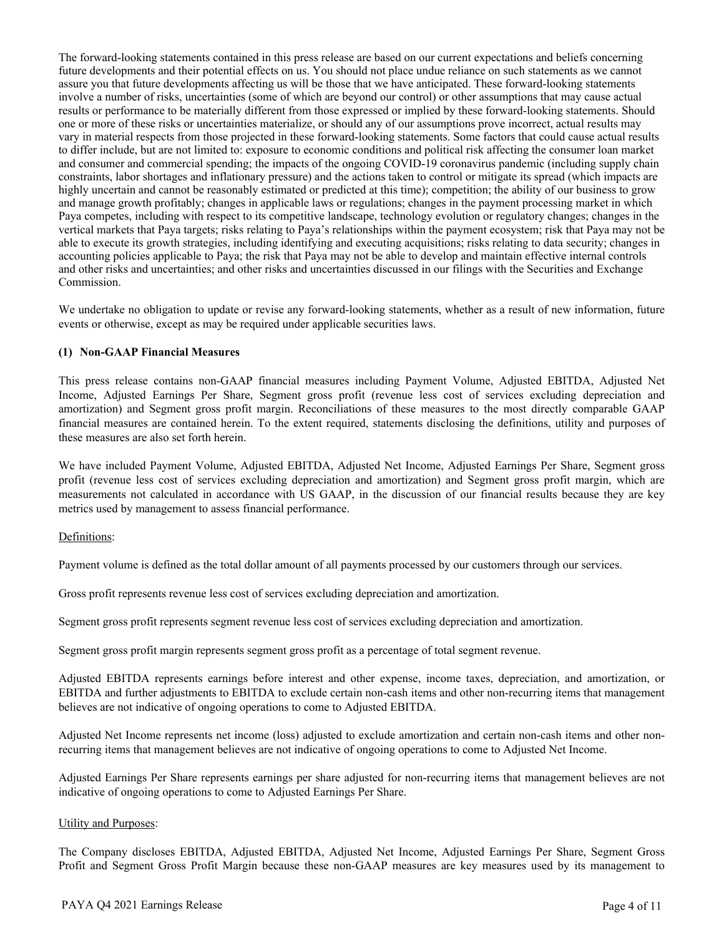The forward-looking statements contained in this press release are based on our current expectations and beliefs concerning future developments and their potential effects on us. You should not place undue reliance on such statements as we cannot assure you that future developments affecting us will be those that we have anticipated. These forward-looking statements involve a number of risks, uncertainties (some of which are beyond our control) or other assumptions that may cause actual results or performance to be materially different from those expressed or implied by these forward-looking statements. Should one or more of these risks or uncertainties materialize, or should any of our assumptions prove incorrect, actual results may vary in material respects from those projected in these forward-looking statements. Some factors that could cause actual results to differ include, but are not limited to: exposure to economic conditions and political risk affecting the consumer loan market and consumer and commercial spending; the impacts of the ongoing COVID-19 coronavirus pandemic (including supply chain constraints, labor shortages and inflationary pressure) and the actions taken to control or mitigate its spread (which impacts are highly uncertain and cannot be reasonably estimated or predicted at this time); competition; the ability of our business to grow and manage growth profitably; changes in applicable laws or regulations; changes in the payment processing market in which Paya competes, including with respect to its competitive landscape, technology evolution or regulatory changes; changes in the vertical markets that Paya targets; risks relating to Paya's relationships within the payment ecosystem; risk that Paya may not be able to execute its growth strategies, including identifying and executing acquisitions; risks relating to data security; changes in accounting policies applicable to Paya; the risk that Paya may not be able to develop and maintain effective internal controls and other risks and uncertainties; and other risks and uncertainties discussed in our filings with the Securities and Exchange **Commission** 

We undertake no obligation to update or revise any forward-looking statements, whether as a result of new information, future events or otherwise, except as may be required under applicable securities laws.

#### **(1) Non-GAAP Financial Measures**

This press release contains non-GAAP financial measures including Payment Volume, Adjusted EBITDA, Adjusted Net Income, Adjusted Earnings Per Share, Segment gross profit (revenue less cost of services excluding depreciation and amortization) and Segment gross profit margin. Reconciliations of these measures to the most directly comparable GAAP financial measures are contained herein. To the extent required, statements disclosing the definitions, utility and purposes of these measures are also set forth herein.

We have included Payment Volume, Adjusted EBITDA, Adjusted Net Income, Adjusted Earnings Per Share, Segment gross profit (revenue less cost of services excluding depreciation and amortization) and Segment gross profit margin, which are measurements not calculated in accordance with US GAAP, in the discussion of our financial results because they are key metrics used by management to assess financial performance.

#### Definitions:

Payment volume is defined as the total dollar amount of all payments processed by our customers through our services.

Gross profit represents revenue less cost of services excluding depreciation and amortization.

Segment gross profit represents segment revenue less cost of services excluding depreciation and amortization.

Segment gross profit margin represents segment gross profit as a percentage of total segment revenue.

Adjusted EBITDA represents earnings before interest and other expense, income taxes, depreciation, and amortization, or EBITDA and further adjustments to EBITDA to exclude certain non-cash items and other non-recurring items that management believes are not indicative of ongoing operations to come to Adjusted EBITDA.

Adjusted Net Income represents net income (loss) adjusted to exclude amortization and certain non-cash items and other nonrecurring items that management believes are not indicative of ongoing operations to come to Adjusted Net Income.

Adjusted Earnings Per Share represents earnings per share adjusted for non-recurring items that management believes are not indicative of ongoing operations to come to Adjusted Earnings Per Share.

#### Utility and Purposes:

The Company discloses EBITDA, Adjusted EBITDA, Adjusted Net Income, Adjusted Earnings Per Share, Segment Gross Profit and Segment Gross Profit Margin because these non-GAAP measures are key measures used by its management to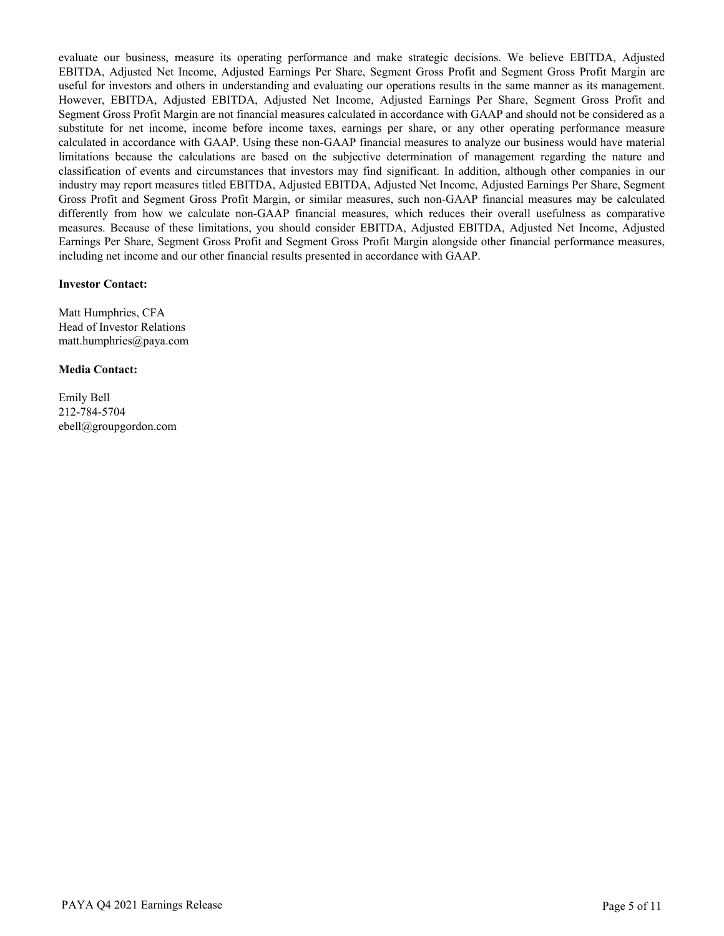evaluate our business, measure its operating performance and make strategic decisions. We believe EBITDA, Adjusted EBITDA, Adjusted Net Income, Adjusted Earnings Per Share, Segment Gross Profit and Segment Gross Profit Margin are useful for investors and others in understanding and evaluating our operations results in the same manner as its management. However, EBITDA, Adjusted EBITDA, Adjusted Net Income, Adjusted Earnings Per Share, Segment Gross Profit and Segment Gross Profit Margin are not financial measures calculated in accordance with GAAP and should not be considered as a substitute for net income, income before income taxes, earnings per share, or any other operating performance measure calculated in accordance with GAAP. Using these non-GAAP financial measures to analyze our business would have material limitations because the calculations are based on the subjective determination of management regarding the nature and classification of events and circumstances that investors may find significant. In addition, although other companies in our industry may report measures titled EBITDA, Adjusted EBITDA, Adjusted Net Income, Adjusted Earnings Per Share, Segment Gross Profit and Segment Gross Profit Margin, or similar measures, such non-GAAP financial measures may be calculated differently from how we calculate non-GAAP financial measures, which reduces their overall usefulness as comparative measures. Because of these limitations, you should consider EBITDA, Adjusted EBITDA, Adjusted Net Income, Adjusted Earnings Per Share, Segment Gross Profit and Segment Gross Profit Margin alongside other financial performance measures, including net income and our other financial results presented in accordance with GAAP.

#### **Investor Contact:**

Matt Humphries, CFA Head of Investor Relations matt.humphries@paya.com

## **Media Contact:**

Emily Bell 212-784-5704 ebell@groupgordon.com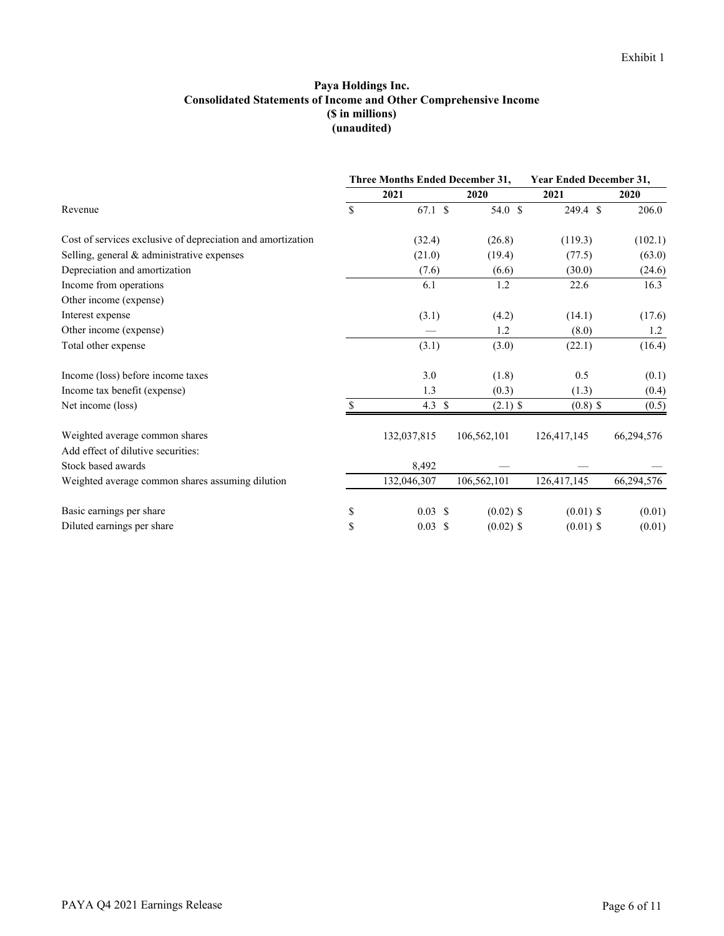# **Paya Holdings Inc. Consolidated Statements of Income and Other Comprehensive Income (\$ in millions) (unaudited)**

|                                                                      | Three Months Ended December 31, |               |             | <b>Year Ended December 31,</b> |            |  |  |
|----------------------------------------------------------------------|---------------------------------|---------------|-------------|--------------------------------|------------|--|--|
|                                                                      | 2021                            |               | 2020        | 2021                           | 2020       |  |  |
| Revenue                                                              | \$<br>67.1 S                    |               | 54.0 \$     | 249.4 \$                       | 206.0      |  |  |
| Cost of services exclusive of depreciation and amortization          | (32.4)                          |               | (26.8)      | (119.3)                        | (102.1)    |  |  |
| Selling, general & administrative expenses                           | (21.0)                          |               | (19.4)      | (77.5)                         | (63.0)     |  |  |
| Depreciation and amortization                                        | (7.6)                           |               | (6.6)       | (30.0)                         | (24.6)     |  |  |
| Income from operations                                               | 6.1                             |               | 1.2         | 22.6                           | 16.3       |  |  |
| Other income (expense)                                               |                                 |               |             |                                |            |  |  |
| Interest expense                                                     | (3.1)                           |               | (4.2)       | (14.1)                         | (17.6)     |  |  |
| Other income (expense)                                               |                                 |               | 1.2         | (8.0)                          | 1.2        |  |  |
| Total other expense                                                  | (3.1)                           |               | (3.0)       | (22.1)                         | (16.4)     |  |  |
| Income (loss) before income taxes                                    | 3.0                             |               | (1.8)       | 0.5                            | (0.1)      |  |  |
| Income tax benefit (expense)                                         | 1.3                             |               | (0.3)       | (1.3)                          | (0.4)      |  |  |
| Net income (loss)                                                    | 4.3 $\sqrt{3}$                  |               | $(2.1)$ \$  | $(0.8)$ \$                     | (0.5)      |  |  |
| Weighted average common shares<br>Add effect of dilutive securities: | 132,037,815                     |               | 106,562,101 | 126,417,145                    | 66,294,576 |  |  |
| Stock based awards                                                   | 8,492                           |               |             |                                |            |  |  |
| Weighted average common shares assuming dilution                     | 132,046,307                     |               | 106,562,101 | 126,417,145                    | 66,294,576 |  |  |
| Basic earnings per share                                             | \$<br>$0.03 \text{ }$ \$        |               | $(0.02)$ \$ | $(0.01)$ \$                    | (0.01)     |  |  |
| Diluted earnings per share                                           | \$<br>0.03                      | <sup>\$</sup> | $(0.02)$ \$ | $(0.01)$ \$                    | (0.01)     |  |  |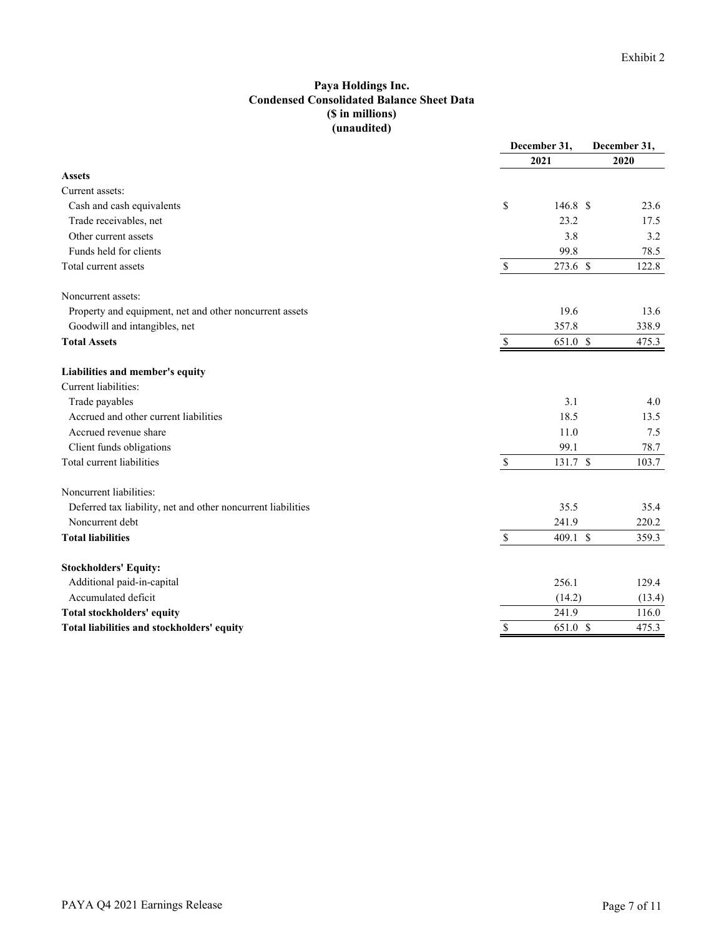# **Paya Holdings Inc. Condensed Consolidated Balance Sheet Data (\$ in millions) (unaudited)**

|                                                              | December 31,<br>December 31, |        |
|--------------------------------------------------------------|------------------------------|--------|
|                                                              | 2021                         | 2020   |
| <b>Assets</b>                                                |                              |        |
| Current assets:                                              |                              |        |
| Cash and cash equivalents                                    | \$<br>$146.8$ \$             | 23.6   |
| Trade receivables, net                                       | 23.2                         | 17.5   |
| Other current assets                                         | 3.8                          | 3.2    |
| Funds held for clients                                       | 99.8                         | 78.5   |
| Total current assets                                         | \$<br>273.6 \$               | 122.8  |
| Noncurrent assets:                                           |                              |        |
| Property and equipment, net and other noncurrent assets      | 19.6                         | 13.6   |
| Goodwill and intangibles, net                                | 357.8                        | 338.9  |
| <b>Total Assets</b>                                          | \$<br>651.0 \$               | 475.3  |
| Liabilities and member's equity                              |                              |        |
| Current liabilities:                                         |                              |        |
| Trade payables                                               | 3.1                          | 4.0    |
| Accrued and other current liabilities                        | 18.5                         | 13.5   |
| Accrued revenue share                                        | 11.0                         | 7.5    |
| Client funds obligations                                     | 99.1                         | 78.7   |
| Total current liabilities                                    | \$<br>131.7 \$               | 103.7  |
| Noncurrent liabilities:                                      |                              |        |
| Deferred tax liability, net and other noncurrent liabilities | 35.5                         | 35.4   |
| Noncurrent debt                                              | 241.9                        | 220.2  |
| <b>Total liabilities</b>                                     | \$<br>409.1 S                | 359.3  |
| <b>Stockholders' Equity:</b>                                 |                              |        |
| Additional paid-in-capital                                   | 256.1                        | 129.4  |
| Accumulated deficit                                          | (14.2)                       | (13.4) |
| Total stockholders' equity                                   | 241.9                        | 116.0  |
| Total liabilities and stockholders' equity                   | \$<br>651.0 \$               | 475.3  |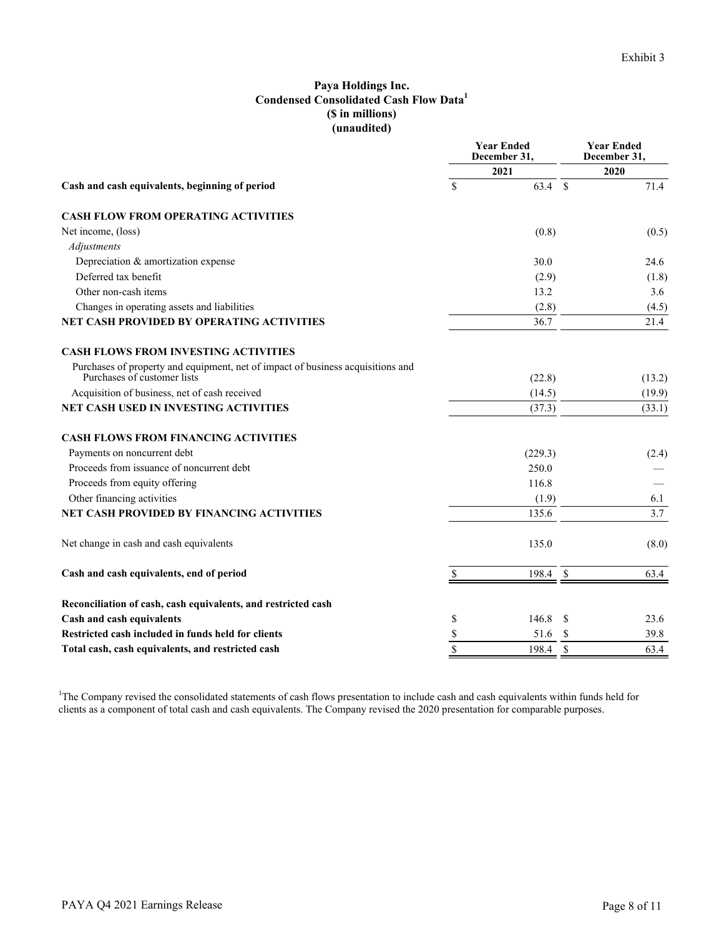# **Paya Holdings Inc. Condensed Consolidated Cash Flow Data<sup>1</sup> (\$ in millions) (unaudited)**

|                                                                                                             |                | <b>Year Ended</b><br>December 31, | <b>Year Ended</b><br>December 31,<br>2020 |  |  |
|-------------------------------------------------------------------------------------------------------------|----------------|-----------------------------------|-------------------------------------------|--|--|
|                                                                                                             |                | 2021                              |                                           |  |  |
| Cash and cash equivalents, beginning of period                                                              | \$             | $63.4$ \$                         | 71.4                                      |  |  |
| <b>CASH FLOW FROM OPERATING ACTIVITIES</b>                                                                  |                |                                   |                                           |  |  |
| Net income, (loss)                                                                                          |                | (0.8)                             | (0.5)                                     |  |  |
| Adjustments                                                                                                 |                |                                   |                                           |  |  |
| Depreciation & amortization expense                                                                         |                | 30.0                              | 24.6                                      |  |  |
| Deferred tax benefit                                                                                        |                | (2.9)                             | (1.8)                                     |  |  |
| Other non-cash items                                                                                        |                | 13.2                              | 3.6                                       |  |  |
| Changes in operating assets and liabilities                                                                 |                | (2.8)                             | (4.5)                                     |  |  |
| NET CASH PROVIDED BY OPERATING ACTIVITIES                                                                   |                | 36.7                              | 21.4                                      |  |  |
| <b>CASH FLOWS FROM INVESTING ACTIVITIES</b>                                                                 |                |                                   |                                           |  |  |
| Purchases of property and equipment, net of impact of business acquisitions and Purchases of customer lists |                | (22.8)                            | (13.2)                                    |  |  |
| Acquisition of business, net of cash received                                                               |                | (14.5)                            | (19.9)                                    |  |  |
| NET CASH USED IN INVESTING ACTIVITIES                                                                       |                | (37.3)                            | (33.1)                                    |  |  |
| <b>CASH FLOWS FROM FINANCING ACTIVITIES</b>                                                                 |                |                                   |                                           |  |  |
| Payments on noncurrent debt                                                                                 |                | (229.3)                           | (2.4)                                     |  |  |
| Proceeds from issuance of noncurrent debt                                                                   |                | 250.0                             |                                           |  |  |
| Proceeds from equity offering                                                                               |                | 116.8                             |                                           |  |  |
| Other financing activities                                                                                  |                | (1.9)                             | 6.1                                       |  |  |
| NET CASH PROVIDED BY FINANCING ACTIVITIES                                                                   |                | 135.6                             | 3.7                                       |  |  |
| Net change in cash and cash equivalents                                                                     |                | 135.0                             | (8.0)                                     |  |  |
| Cash and cash equivalents, end of period                                                                    | S              | 198.4<br><sup>\$</sup>            | 63.4                                      |  |  |
| Reconciliation of cash, cash equivalents, and restricted cash                                               |                |                                   |                                           |  |  |
| Cash and cash equivalents                                                                                   | \$             | 146.8<br><sup>\$</sup>            | 23.6                                      |  |  |
| Restricted cash included in funds held for clients                                                          | \$             | 51.6<br>\$                        | 39.8                                      |  |  |
| Total cash, cash equivalents, and restricted cash                                                           | $\overline{s}$ | $\overline{\mathbf{s}}$<br>198.4  | 63.4                                      |  |  |

<sup>1</sup>The Company revised the consolidated statements of cash flows presentation to include cash and cash equivalents within funds held for clients as a component of total cash and cash equivalents. The Company revised the 2020 presentation for comparable purposes.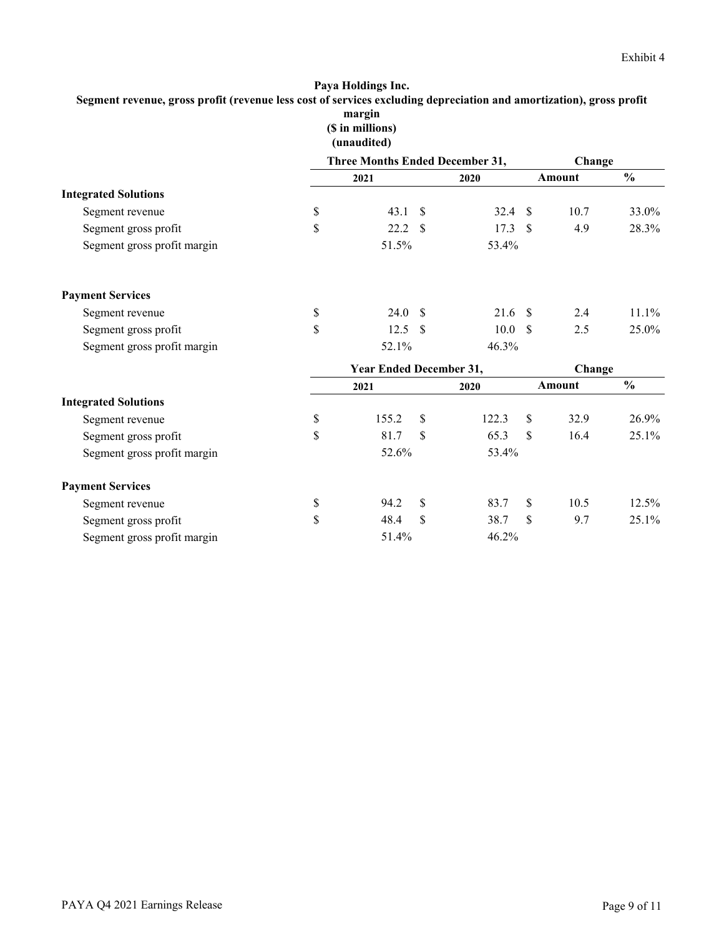#### **Paya Holdings Inc. Segment revenue, gross profit (revenue less cost of services excluding depreciation and amortization), gross profit margin (\$ in millions)**

|                             |      | (эш шшону)<br>(unaudited)       |               |                    |               |               |               |
|-----------------------------|------|---------------------------------|---------------|--------------------|---------------|---------------|---------------|
|                             |      | Three Months Ended December 31, |               | Change             |               |               |               |
|                             |      | 2021                            |               | 2020               |               | <b>Amount</b> | $\frac{0}{0}$ |
| <b>Integrated Solutions</b> |      |                                 |               |                    |               |               |               |
| Segment revenue             | \$   | 43.1                            | $\mathcal{S}$ | $32.4 \text{ } $s$ |               | 10.7          | 33.0%         |
| Segment gross profit        | \$   | 22.2                            | -\$           | 17.3               | -S            | 4.9           | 28.3%         |
| Segment gross profit margin |      | 51.5%                           |               | 53.4%              |               |               |               |
| <b>Payment Services</b>     |      |                                 |               |                    |               |               |               |
| Segment revenue             | \$   | 24.0                            | -S            | $21.6$ \$          |               | 2.4           | 11.1%         |
| Segment gross profit        | \$   | 12.5                            | -\$           | 10.0               | - \$          | 2.5           | 25.0%         |
| Segment gross profit margin |      | 52.1%                           |               | 46.3%              |               |               |               |
|                             |      | <b>Year Ended December 31,</b>  |               |                    |               | Change        |               |
|                             | 2021 |                                 | 2020          |                    | <b>Amount</b> | $\frac{6}{6}$ |               |
| <b>Integrated Solutions</b> |      |                                 |               |                    |               |               |               |
| Segment revenue             | \$   | 155.2                           | \$            | 122.3              | $\mathsf{\$}$ | 32.9          | 26.9%         |
| Segment gross profit        | \$   | 81.7                            | \$            | 65.3               | $\mathbb{S}$  | 16.4          | 25.1%         |
| Segment gross profit margin |      | 52.6%                           |               | 53.4%              |               |               |               |
| <b>Payment Services</b>     |      |                                 |               |                    |               |               |               |
| Segment revenue             | \$   | 94.2                            | \$            | 83.7               | $\mathcal{S}$ | 10.5          | 12.5%         |
| Segment gross profit        | \$   | 48.4                            | \$            | 38.7               | \$            | 9.7           | 25.1%         |
| Segment gross profit margin |      | 51.4%                           |               | 46.2%              |               |               |               |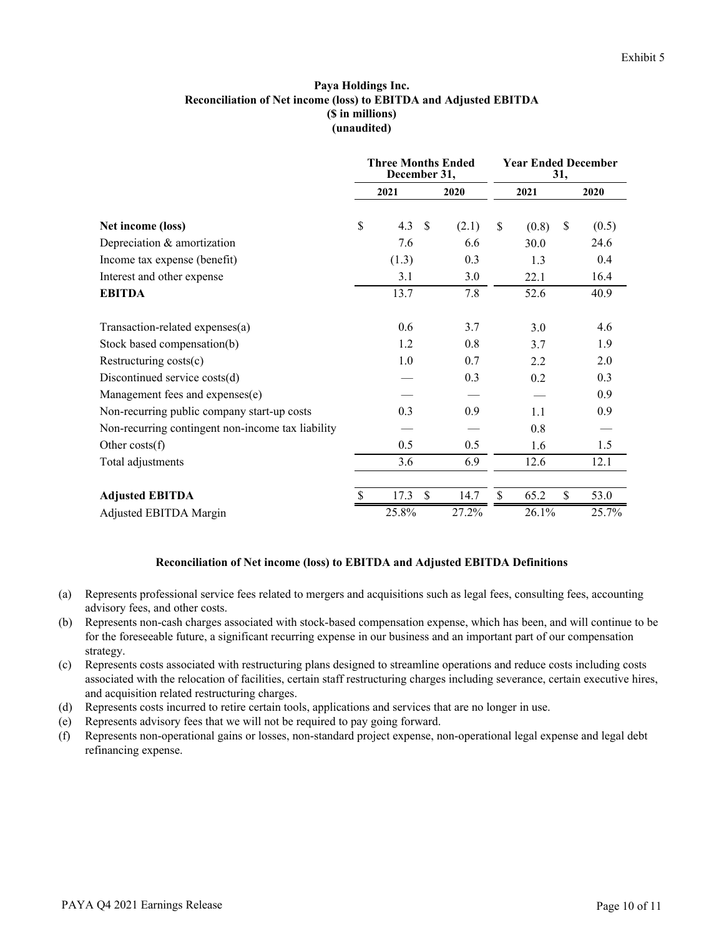## **Paya Holdings Inc. Reconciliation of Net income (loss) to EBITDA and Adjusted EBITDA (\$ in millions) (unaudited)**

|                                                   | <b>Three Months Ended</b><br>December 31, |       |    |       | <b>Year Ended December</b><br>31, |       |    |       |
|---------------------------------------------------|-------------------------------------------|-------|----|-------|-----------------------------------|-------|----|-------|
|                                                   | 2021                                      |       |    | 2020  | 2021                              |       |    | 2020  |
| Net income (loss)                                 | \$                                        | 4.3   | -S | (2.1) | $\mathsf{\$}$                     | (0.8) | \$ | (0.5) |
| Depreciation & amortization                       |                                           | 7.6   |    | 6.6   |                                   | 30.0  |    | 24.6  |
| Income tax expense (benefit)                      |                                           | (1.3) |    | 0.3   |                                   | 1.3   |    | 0.4   |
| Interest and other expense                        |                                           | 3.1   |    | 3.0   |                                   | 22.1  |    | 16.4  |
| <b>EBITDA</b>                                     |                                           | 13.7  |    | 7.8   |                                   | 52.6  |    | 40.9  |
| Transaction-related expenses(a)                   |                                           | 0.6   |    | 3.7   |                                   | 3.0   |    | 4.6   |
| Stock based compensation(b)                       |                                           | 1.2   |    | 0.8   |                                   | 3.7   |    | 1.9   |
| Restructuring $costs(c)$                          |                                           | 1.0   |    | 0.7   |                                   | 2.2   |    | 2.0   |
| Discontinued service costs(d)                     |                                           |       |    | 0.3   |                                   | 0.2   |    | 0.3   |
| Management fees and expenses(e)                   |                                           |       |    |       |                                   |       |    | 0.9   |
| Non-recurring public company start-up costs       |                                           | 0.3   |    | 0.9   |                                   | 1.1   |    | 0.9   |
| Non-recurring contingent non-income tax liability |                                           |       |    |       |                                   | 0.8   |    |       |
| Other $costs(f)$                                  |                                           | 0.5   |    | 0.5   |                                   | 1.6   |    | 1.5   |
| Total adjustments                                 |                                           | 3.6   |    | 6.9   |                                   | 12.6  |    | 12.1  |
| <b>Adjusted EBITDA</b>                            | S                                         | 17.3  | \$ | 14.7  | \$                                | 65.2  | \$ | 53.0  |
| Adjusted EBITDA Margin                            |                                           | 25.8% |    | 27.2% |                                   | 26.1% |    | 25.7% |

## **Reconciliation of Net income (loss) to EBITDA and Adjusted EBITDA Definitions**

- (a) Represents professional service fees related to mergers and acquisitions such as legal fees, consulting fees, accounting advisory fees, and other costs.
- (b) Represents non-cash charges associated with stock-based compensation expense, which has been, and will continue to be for the foreseeable future, a significant recurring expense in our business and an important part of our compensation strategy.
- (c) Represents costs associated with restructuring plans designed to streamline operations and reduce costs including costs associated with the relocation of facilities, certain staff restructuring charges including severance, certain executive hires, and acquisition related restructuring charges.
- (d) Represents costs incurred to retire certain tools, applications and services that are no longer in use.
- (e) Represents advisory fees that we will not be required to pay going forward.
- (f) Represents non-operational gains or losses, non-standard project expense, non-operational legal expense and legal debt refinancing expense.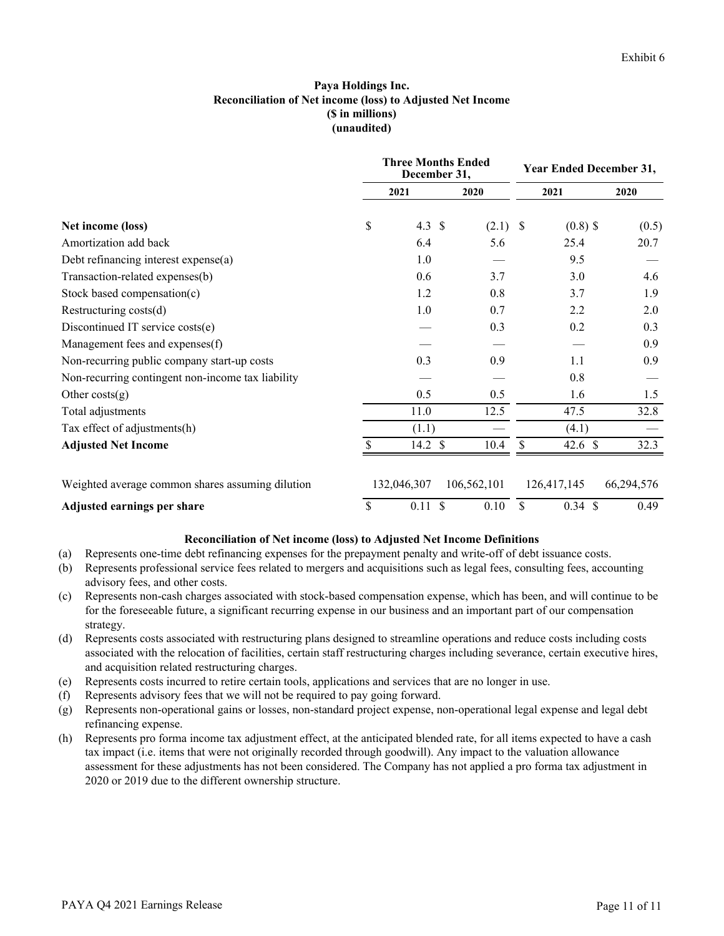## **Paya Holdings Inc. Reconciliation of Net income (loss) to Adjusted Net Income (\$ in millions) (unaudited)**

|                                                   | <b>Three Months Ended</b><br>December 31, |             |             | <b>Year Ended December 31,</b> |                   |            |  |
|---------------------------------------------------|-------------------------------------------|-------------|-------------|--------------------------------|-------------------|------------|--|
|                                                   |                                           | 2021        | 2020        |                                | 2021              | 2020       |  |
| Net income (loss)                                 | \$                                        | 4.3 $$$     | $(2.1)$ \$  |                                | $(0.8)$ \$        | (0.5)      |  |
| Amortization add back                             |                                           | 6.4         | 5.6         |                                | 25.4              | 20.7       |  |
| Debt refinancing interest expense(a)              |                                           | 1.0         |             |                                | 9.5               |            |  |
| Transaction-related expenses(b)                   |                                           | 0.6         | 3.7         |                                | 3.0               | 4.6        |  |
| Stock based compensation(c)                       |                                           | 1.2         | 0.8         |                                | 3.7               | 1.9        |  |
| Restructuring $costs(d)$                          |                                           | 1.0         | 0.7         |                                | 2.2               | 2.0        |  |
| Discontinued IT service costs(e)                  |                                           |             | 0.3         |                                | 0.2               | 0.3        |  |
| Management fees and expenses(f)                   |                                           |             |             |                                |                   | 0.9        |  |
| Non-recurring public company start-up costs       |                                           | 0.3         | 0.9         |                                | 1.1               | 0.9        |  |
| Non-recurring contingent non-income tax liability |                                           |             |             |                                | 0.8               |            |  |
| Other costs $(g)$                                 |                                           | 0.5         | 0.5         |                                | 1.6               | 1.5        |  |
| Total adjustments                                 |                                           | 11.0        | 12.5        |                                | 47.5              | 32.8       |  |
| Tax effect of adjustments(h)                      |                                           | (1.1)       |             |                                | (4.1)             |            |  |
| <b>Adjusted Net Income</b>                        |                                           | 14.2 $$$    | 10.4        |                                | 42.6 $$$          | 32.3       |  |
| Weighted average common shares assuming dilution  |                                           | 132,046,307 | 106,562,101 |                                | 126,417,145       | 66,294,576 |  |
| Adjusted earnings per share                       | \$                                        | 0.11S       | 0.10        | \$                             | $0.34 \text{ } $$ | 0.49       |  |

## **Reconciliation of Net income (loss) to Adjusted Net Income Definitions**

- (a) Represents one-time debt refinancing expenses for the prepayment penalty and write-off of debt issuance costs.
- (b) Represents professional service fees related to mergers and acquisitions such as legal fees, consulting fees, accounting advisory fees, and other costs.
- (c) Represents non-cash charges associated with stock-based compensation expense, which has been, and will continue to be for the foreseeable future, a significant recurring expense in our business and an important part of our compensation strategy.
- (d) Represents costs associated with restructuring plans designed to streamline operations and reduce costs including costs associated with the relocation of facilities, certain staff restructuring charges including severance, certain executive hires, and acquisition related restructuring charges.
- (e) Represents costs incurred to retire certain tools, applications and services that are no longer in use.
- (f) Represents advisory fees that we will not be required to pay going forward.
- (g) Represents non-operational gains or losses, non-standard project expense, non-operational legal expense and legal debt refinancing expense.
- (h) Represents pro forma income tax adjustment effect, at the anticipated blended rate, for all items expected to have a cash tax impact (i.e. items that were not originally recorded through goodwill). Any impact to the valuation allowance assessment for these adjustments has not been considered. The Company has not applied a pro forma tax adjustment in 2020 or 2019 due to the different ownership structure.